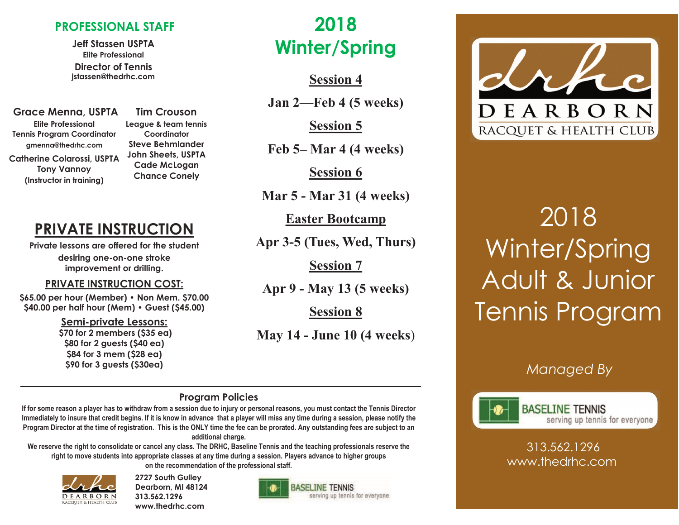#### **PROFESSIONAL STAFF**

**Jeff Stassen USPTA Elite Professional Director of Tennis jstassen@thedrhc.com**

**Grace Menna, USPTA Elite Professional Tennis Program Coordinator gmenna@thedrhc.com Catherine Colarossi, USPTA Tony Vannoy (Instructor in training)**

**Tim Crouson League & team tennis Coordinator Steve Behmlander John Sheets, USPTA Cade McLogan Chance Conely** 

## **PRIVATE INSTRUCTION**

**Private lessons are offered for the student desiring one-on-one stroke improvement or drilling.**

#### **PRIVATE INSTRUCTION COST:**

**\$65.00 per hour (Member) • Non Mem. \$70.00 \$40.00 per half hour (Mem) • Guest (\$45.00)**

> **Semi-private Lessons: \$70 for 2 members (\$35 ea) \$80 for 2 guests (\$40 ea) \$84 for 3 mem (\$28 ea) \$90 for 3 guests (\$30ea)**

# **2018 Winter/Spring**

**Session 4**

**Jan 2—Feb 4 (5 weeks)**

**Session 5**

**Feb 5– Mar 4 (4 weeks)**

**Session 6**

**Mar 5 - Mar 31 (4 weeks)**

**Easter Bootcamp** 

**Apr 3-5 (Tues, Wed, Thurs)**

**Session 7**

**Apr 9 - May 13 (5 weeks)**

**Session 8**

**May 14 - June 10 (4 weeks**)

# DEARBORN RACQUET & HEALTH CLUB

# 2018 Winter/Spring Adult & Junior Tennis Program

### *Managed By*



**BASELINE TENNIS** serving up tennis for everyone

313.562.1296 www.thedrhc.com

#### **Program Policies**

**If for some reason a player has to withdraw from a session due to injury or personal reasons, you must contact the Tennis Director Immediately to insure that credit begins. If it is know in advance that a player will miss any time during a session, please notify the Program Director at the time of registration. This is the ONLY time the fee can be prorated. Any outstanding fees are subject to an additional charge.** 

**We reserve the right to consolidate or cancel any class. The DRHC, Baseline Tennis and the teaching professionals reserve the right to move students into appropriate classes at any time during a session. Players advance to higher groups on the recommendation of the professional staff.**



**2727 South Gulley Dearborn, MI 48124 313.562.1296 www.thedrhc.com**